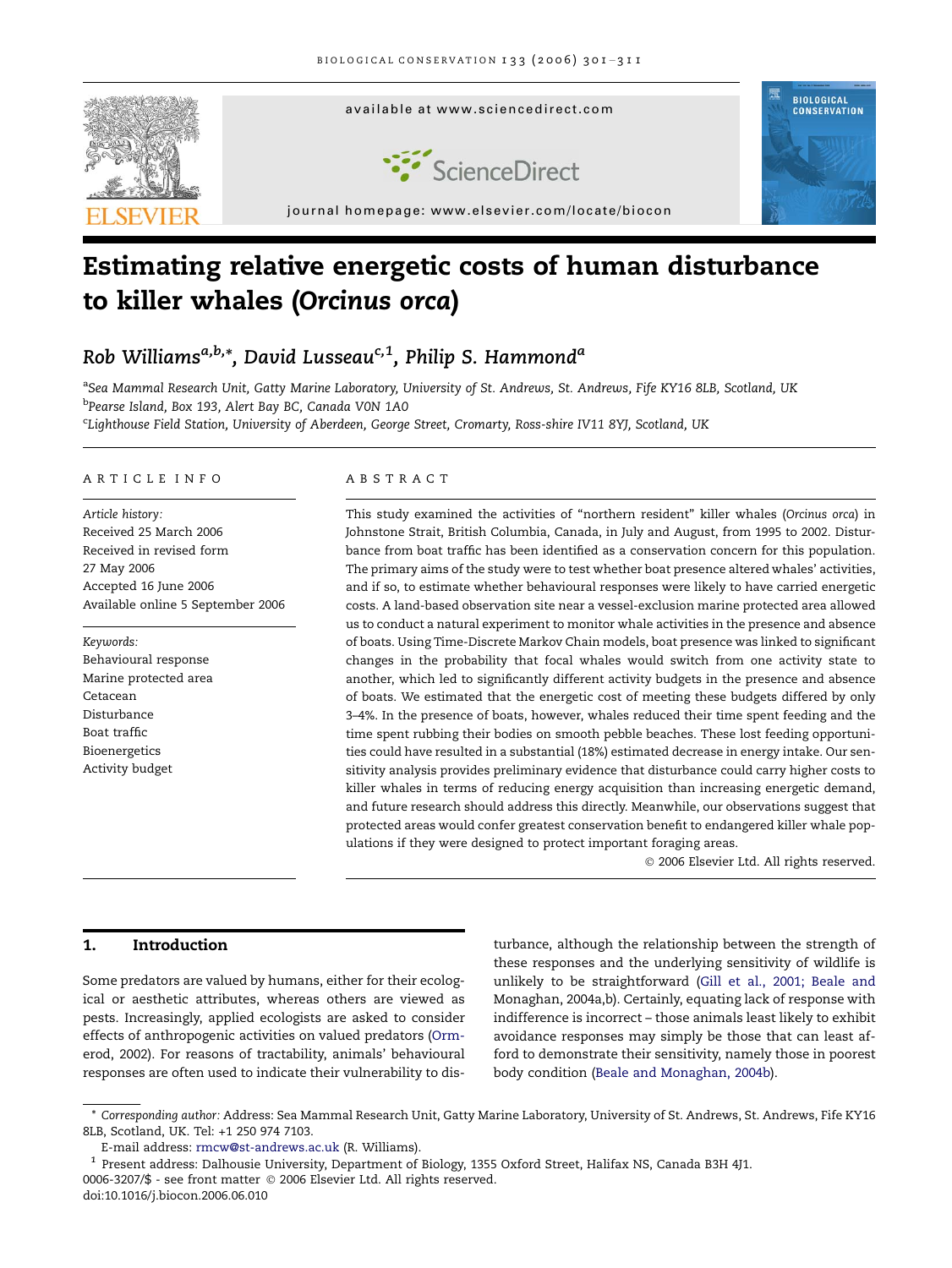

# Estimating relative energetic costs of human disturbance to killer whales (Orcinus orca)

# Rob Williams<sup>a,b,\*</sup>, David Lusseau<sup>c,1</sup>, Philip S. Hammond<sup>a</sup>

a<br>Sea Mammal Research Unit, Gatty Marine Laboratory, University of St. Andrews, St. Andrews, Fife KY16 8LB, Scotland, UK <sup>b</sup>Pearse Island, Box 193, Alert Bay BC, Canada VON 1A0 <sup>c</sup>Lighthouse Field Station, University of Aberdeen, George Street, Cromarty, Ross-shire IV11 8YJ, Scotland, UK

#### ARTICLE INFO

Article history: Received 25 March 2006 Received in revised form 27 May 2006 Accepted 16 June 2006 Available online 5 September 2006

Keywords: Behavioural response Marine protected area Cetacean Disturbance Boat traffic Bioenergetics Activity budget

# ABSTRACT

This study examined the activities of ''northern resident'' killer whales (Orcinus orca) in Johnstone Strait, British Columbia, Canada, in July and August, from 1995 to 2002. Disturbance from boat traffic has been identified as a conservation concern for this population. The primary aims of the study were to test whether boat presence altered whales' activities, and if so, to estimate whether behavioural responses were likely to have carried energetic costs. A land-based observation site near a vessel-exclusion marine protected area allowed us to conduct a natural experiment to monitor whale activities in the presence and absence of boats. Using Time-Discrete Markov Chain models, boat presence was linked to significant changes in the probability that focal whales would switch from one activity state to another, which led to significantly different activity budgets in the presence and absence of boats. We estimated that the energetic cost of meeting these budgets differed by only 3–4%. In the presence of boats, however, whales reduced their time spent feeding and the time spent rubbing their bodies on smooth pebble beaches. These lost feeding opportunities could have resulted in a substantial (18%) estimated decrease in energy intake. Our sensitivity analysis provides preliminary evidence that disturbance could carry higher costs to killer whales in terms of reducing energy acquisition than increasing energetic demand, and future research should address this directly. Meanwhile, our observations suggest that protected areas would confer greatest conservation benefit to endangered killer whale populations if they were designed to protect important foraging areas.

- 2006 Elsevier Ltd. All rights reserved.

# 1. Introduction

Some predators are valued by humans, either for their ecological or aesthetic attributes, whereas others are viewed as pests. Increasingly, applied ecologists are asked to consider effects of anthropogenic activities on valued predators [\(Orm](#page-10-0)[erod, 2002](#page-10-0)). For reasons of tractability, animals' behavioural responses are often used to indicate their vulnerability to dis-

turbance, although the relationship between the strength of these responses and the underlying sensitivity of wildlife is unlikely to be straightforward [\(Gill et al., 2001; Beale and](#page-9-0) [Monaghan, 2004a,b\)](#page-9-0). Certainly, equating lack of response with indifference is incorrect – those animals least likely to exhibit avoidance responses may simply be those that can least afford to demonstrate their sensitivity, namely those in poorest body condition ([Beale and Monaghan, 2004b](#page-9-0)).

<sup>\*</sup> Corresponding author: Address: Sea Mammal Research Unit, Gatty Marine Laboratory, University of St. Andrews, St. Andrews, Fife KY16 8LB, Scotland, UK. Tel: +1 250 974 7103.

E-mail address: [rmcw@st-andrews.ac.uk](mailto:rmcw@st-andrews.ac.uk) (R. Williams).

<sup>1</sup> Present address: Dalhousie University, Department of Biology, 1355 Oxford Street, Halifax NS, Canada B3H 4J1.

<sup>0006-3207/\$ -</sup> see front matter © 2006 Elsevier Ltd. All rights reserved. doi:10.1016/j.biocon.2006.06.010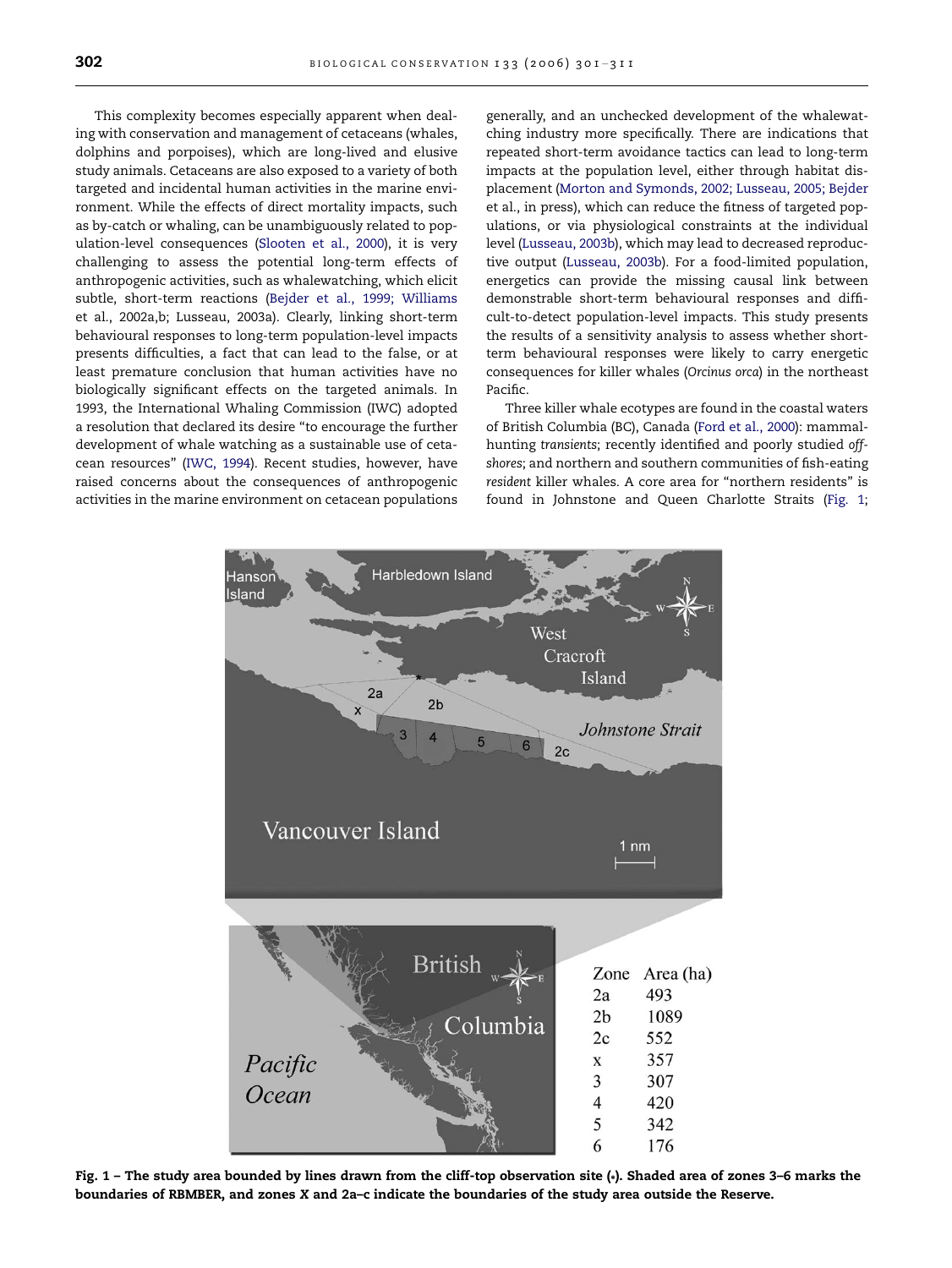<span id="page-1-0"></span>This complexity becomes especially apparent when dealing with conservation and management of cetaceans (whales, dolphins and porpoises), which are long-lived and elusive study animals. Cetaceans are also exposed to a variety of both targeted and incidental human activities in the marine environment. While the effects of direct mortality impacts, such as by-catch or whaling, can be unambiguously related to population-level consequences ([Slooten et al., 2000](#page-10-0)), it is very challenging to assess the potential long-term effects of anthropogenic activities, such as whalewatching, which elicit subtle, short-term reactions ([Bejder et al., 1999; Williams](#page-9-0) [et al., 2002a,b; Lusseau, 2003a](#page-9-0)). Clearly, linking short-term behavioural responses to long-term population-level impacts presents difficulties, a fact that can lead to the false, or at least premature conclusion that human activities have no biologically significant effects on the targeted animals. In 1993, the International Whaling Commission (IWC) adopted a resolution that declared its desire ''to encourage the further development of whale watching as a sustainable use of cetacean resources'' ([IWC, 1994\)](#page-9-0). Recent studies, however, have raised concerns about the consequences of anthropogenic activities in the marine environment on cetacean populations

generally, and an unchecked development of the whalewatching industry more specifically. There are indications that repeated short-term avoidance tactics can lead to long-term impacts at the population level, either through habitat displacement [\(Morton and Symonds, 2002; Lusseau, 2005; Bejder](#page-10-0) [et al., in press\)](#page-10-0), which can reduce the fitness of targeted populations, or via physiological constraints at the individual level ([Lusseau, 2003b\)](#page-10-0), which may lead to decreased reproductive output ([Lusseau, 2003b](#page-10-0)). For a food-limited population, energetics can provide the missing causal link between demonstrable short-term behavioural responses and difficult-to-detect population-level impacts. This study presents the results of a sensitivity analysis to assess whether shortterm behavioural responses were likely to carry energetic consequences for killer whales (Orcinus orca) in the northeast Pacific.

Three killer whale ecotypes are found in the coastal waters of British Columbia (BC), Canada ([Ford et al., 2000\)](#page-9-0): mammalhunting transients; recently identified and poorly studied offshores; and northern and southern communities of fish-eating resident killer whales. A core area for "northern residents" is found in Johnstone and Queen Charlotte Straits (Fig. 1;



Fig. 1 – The study area bounded by lines drawn from the cliff-top observation site (\* ). Shaded area of zones 3–6 marks the boundaries of RBMBER, and zones X and 2a–c indicate the boundaries of the study area outside the Reserve.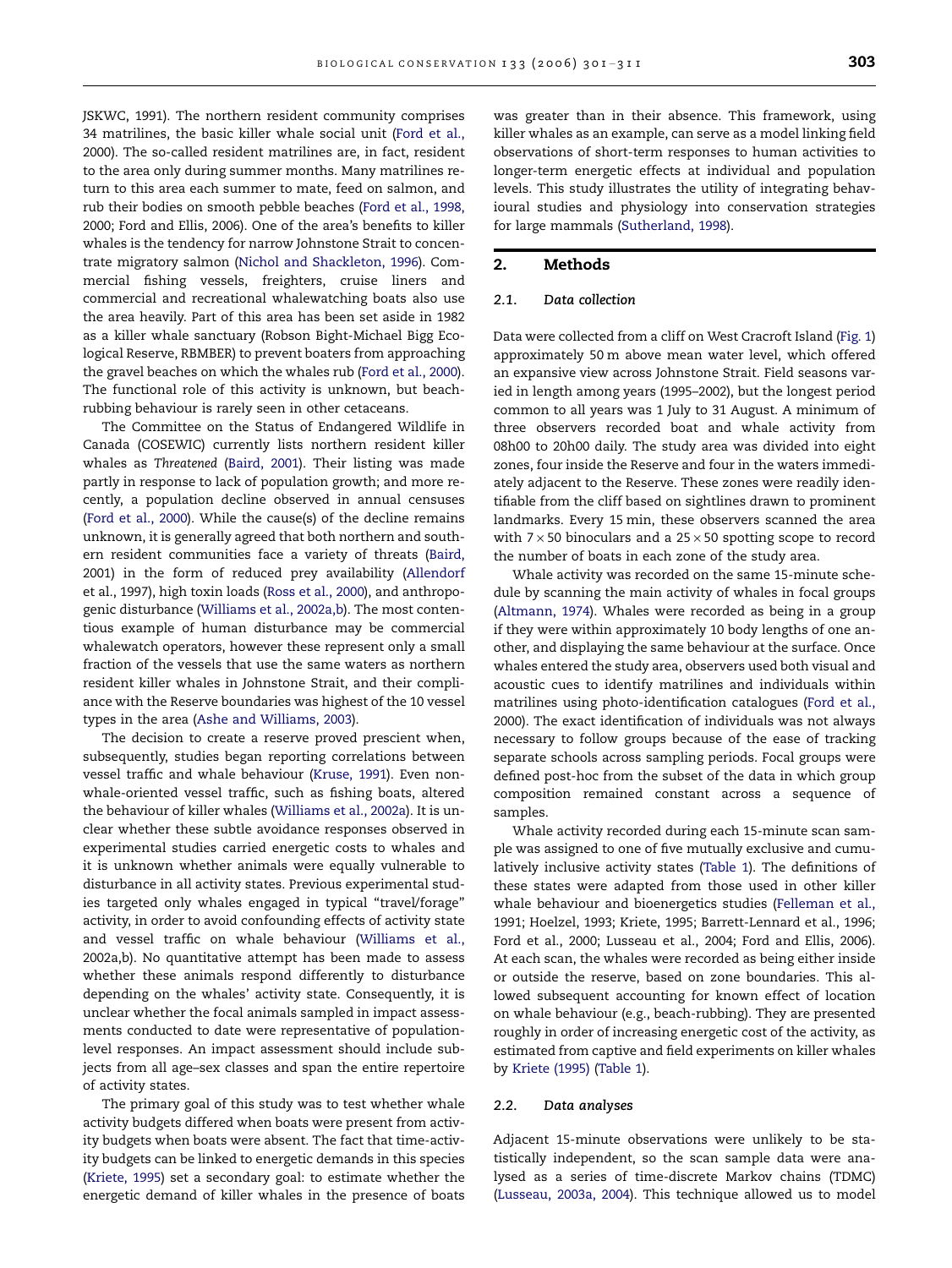[JSKWC, 1991](#page-9-0)). The northern resident community comprises 34 matrilines, the basic killer whale social unit ([Ford et al.,](#page-9-0) [2000](#page-9-0)). The so-called resident matrilines are, in fact, resident to the area only during summer months. Many matrilines return to this area each summer to mate, feed on salmon, and rub their bodies on smooth pebble beaches ([Ford et al., 1998,](#page-9-0) [2000; Ford and Ellis, 2006](#page-9-0)). One of the area's benefits to killer whales is the tendency for narrow Johnstone Strait to concentrate migratory salmon [\(Nichol and Shackleton, 1996\)](#page-10-0). Commercial fishing vessels, freighters, cruise liners and commercial and recreational whalewatching boats also use the area heavily. Part of this area has been set aside in 1982 as a killer whale sanctuary (Robson Bight-Michael Bigg Ecological Reserve, RBMBER) to prevent boaters from approaching the gravel beaches on which the whales rub [\(Ford et al., 2000](#page-9-0)). The functional role of this activity is unknown, but beachrubbing behaviour is rarely seen in other cetaceans.

The Committee on the Status of Endangered Wildlife in Canada (COSEWIC) currently lists northern resident killer whales as Threatened ([Baird, 2001](#page-9-0)). Their listing was made partly in response to lack of population growth; and more recently, a population decline observed in annual censuses [\(Ford et al., 2000](#page-9-0)). While the cause(s) of the decline remains unknown, it is generally agreed that both northern and southern resident communities face a variety of threats ([Baird,](#page-9-0) [2001](#page-9-0)) in the form of reduced prey availability [\(Allendorf](#page-9-0) [et al., 1997\)](#page-9-0), high toxin loads [\(Ross et al., 2000\)](#page-10-0), and anthropogenic disturbance ([Williams et al., 2002a,b\)](#page-10-0). The most contentious example of human disturbance may be commercial whalewatch operators, however these represent only a small fraction of the vessels that use the same waters as northern resident killer whales in Johnstone Strait, and their compliance with the Reserve boundaries was highest of the 10 vessel types in the area [\(Ashe and Williams, 2003](#page-9-0)).

The decision to create a reserve proved prescient when, subsequently, studies began reporting correlations between vessel traffic and whale behaviour [\(Kruse, 1991\)](#page-10-0). Even nonwhale-oriented vessel traffic, such as fishing boats, altered the behaviour of killer whales ([Williams et al., 2002a](#page-10-0)). It is unclear whether these subtle avoidance responses observed in experimental studies carried energetic costs to whales and it is unknown whether animals were equally vulnerable to disturbance in all activity states. Previous experimental studies targeted only whales engaged in typical "travel/forage" activity, in order to avoid confounding effects of activity state and vessel traffic on whale behaviour [\(Williams et al.,](#page-10-0) [2002a,b\)](#page-10-0). No quantitative attempt has been made to assess whether these animals respond differently to disturbance depending on the whales' activity state. Consequently, it is unclear whether the focal animals sampled in impact assessments conducted to date were representative of populationlevel responses. An impact assessment should include subjects from all age–sex classes and span the entire repertoire of activity states.

The primary goal of this study was to test whether whale activity budgets differed when boats were present from activity budgets when boats were absent. The fact that time-activity budgets can be linked to energetic demands in this species [\(Kriete, 1995\)](#page-10-0) set a secondary goal: to estimate whether the energetic demand of killer whales in the presence of boats

was greater than in their absence. This framework, using killer whales as an example, can serve as a model linking field observations of short-term responses to human activities to longer-term energetic effects at individual and population levels. This study illustrates the utility of integrating behavioural studies and physiology into conservation strategies for large mammals ([Sutherland, 1998\)](#page-10-0).

# 2. Methods

#### 2.1. Data collection

Data were collected from a cliff on West Cracroft Island ([Fig. 1\)](#page-1-0) approximately 50 m above mean water level, which offered an expansive view across Johnstone Strait. Field seasons varied in length among years (1995–2002), but the longest period common to all years was 1 July to 31 August. A minimum of three observers recorded boat and whale activity from 08h00 to 20h00 daily. The study area was divided into eight zones, four inside the Reserve and four in the waters immediately adjacent to the Reserve. These zones were readily identifiable from the cliff based on sightlines drawn to prominent landmarks. Every 15 min, these observers scanned the area with  $7 \times 50$  binoculars and a  $25 \times 50$  spotting scope to record the number of boats in each zone of the study area.

Whale activity was recorded on the same 15-minute schedule by scanning the main activity of whales in focal groups [\(Altmann, 1974](#page-9-0)). Whales were recorded as being in a group if they were within approximately 10 body lengths of one another, and displaying the same behaviour at the surface. Once whales entered the study area, observers used both visual and acoustic cues to identify matrilines and individuals within matrilines using photo-identification catalogues [\(Ford et al.,](#page-9-0) [2000](#page-9-0)). The exact identification of individuals was not always necessary to follow groups because of the ease of tracking separate schools across sampling periods. Focal groups were defined post-hoc from the subset of the data in which group composition remained constant across a sequence of samples.

Whale activity recorded during each 15-minute scan sample was assigned to one of five mutually exclusive and cumulatively inclusive activity states [\(Table 1\)](#page-3-0). The definitions of these states were adapted from those used in other killer whale behaviour and bioenergetics studies [\(Felleman et al.,](#page-9-0) [1991; Hoelzel, 1993; Kriete, 1995; Barrett-Lennard et al., 1996;](#page-9-0) [Ford et al., 2000; Lusseau et al., 2004; Ford and Ellis, 2006](#page-9-0)). At each scan, the whales were recorded as being either inside or outside the reserve, based on zone boundaries. This allowed subsequent accounting for known effect of location on whale behaviour (e.g., beach-rubbing). They are presented roughly in order of increasing energetic cost of the activity, as estimated from captive and field experiments on killer whales by [Kriete \(1995\)](#page-10-0) [\(Table 1](#page-3-0)).

#### 2.2. Data analyses

Adjacent 15-minute observations were unlikely to be statistically independent, so the scan sample data were analysed as a series of time-discrete Markov chains (TDMC) [\(Lusseau, 2003a, 2004](#page-10-0)). This technique allowed us to model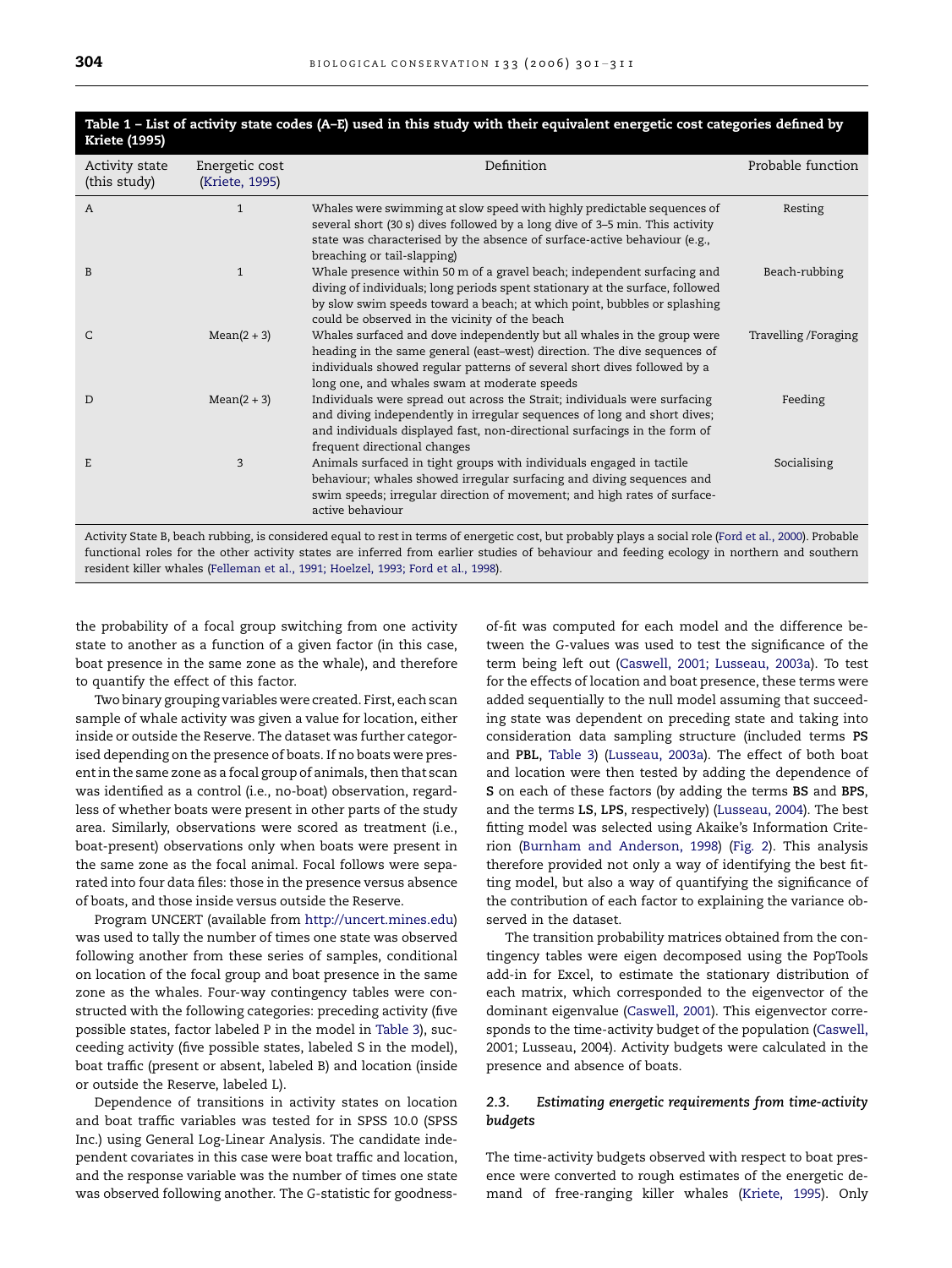<span id="page-3-0"></span>Table 1 – List of activity state codes (A–E) used in this study with their equivalent energetic cost categories defined by

| Kriete (1995)                                                                                                                                           |                                  |                                                                                                                                                                                                                                                                                        |                      |  |
|---------------------------------------------------------------------------------------------------------------------------------------------------------|----------------------------------|----------------------------------------------------------------------------------------------------------------------------------------------------------------------------------------------------------------------------------------------------------------------------------------|----------------------|--|
| Activity state<br>(this study)                                                                                                                          | Energetic cost<br>(Kriete, 1995) | Definition                                                                                                                                                                                                                                                                             | Probable function    |  |
| $\mathsf{A}$                                                                                                                                            | $\mathbf{1}$                     | Whales were swimming at slow speed with highly predictable sequences of<br>several short (30 s) dives followed by a long dive of 3-5 min. This activity<br>state was characterised by the absence of surface-active behaviour (e.g.,<br>breaching or tail-slapping)                    | Resting              |  |
| B                                                                                                                                                       | $\mathbf{1}$                     | Whale presence within 50 m of a gravel beach; independent surfacing and<br>diving of individuals; long periods spent stationary at the surface, followed<br>by slow swim speeds toward a beach; at which point, bubbles or splashing<br>could be observed in the vicinity of the beach | Beach-rubbing        |  |
| C                                                                                                                                                       | $Mean(2 + 3)$                    | Whales surfaced and dove independently but all whales in the group were<br>heading in the same general (east-west) direction. The dive sequences of<br>individuals showed regular patterns of several short dives followed by a<br>long one, and whales swam at moderate speeds        | Travelling /Foraging |  |
| D                                                                                                                                                       | $Mean(2 + 3)$                    | Individuals were spread out across the Strait; individuals were surfacing<br>and diving independently in irregular sequences of long and short dives;<br>and individuals displayed fast, non-directional surfacings in the form of<br>frequent directional changes                     | Feeding              |  |
| E                                                                                                                                                       | 3                                | Animals surfaced in tight groups with individuals engaged in tactile<br>behaviour; whales showed irregular surfacing and diving sequences and<br>swim speeds; irregular direction of movement; and high rates of surface-<br>active behaviour                                          | Socialising          |  |
| Activity State B, beach rubbing, is considered equal to rest in terms of energetic cost, but probably plays a social role (Ford et al., 2000). Probable |                                  |                                                                                                                                                                                                                                                                                        |                      |  |

functional roles for the other activity states are inferred from earlier studies of behaviour and feeding ecology in northern and southern resident killer whales ([Felleman et al., 1991; Hoelzel, 1993; Ford et al., 1998](#page-9-0)).

the probability of a focal group switching from one activity state to another as a function of a given factor (in this case, boat presence in the same zone as the whale), and therefore to quantify the effect of this factor.

Two binary grouping variables were created. First, each scan sample of whale activity was given a value for location, either inside or outside the Reserve. The dataset was further categorised depending on the presence of boats. If no boats were present in the same zone as a focal group of animals, then that scan was identified as a control (i.e., no-boat) observation, regardless of whether boats were present in other parts of the study area. Similarly, observations were scored as treatment (i.e., boat-present) observations only when boats were present in the same zone as the focal animal. Focal follows were separated into four data files: those in the presence versus absence of boats, and those inside versus outside the Reserve.

Program UNCERT (available from [http://uncert.mines.edu\)](http://uncert.mines.edu) was used to tally the number of times one state was observed following another from these series of samples, conditional on location of the focal group and boat presence in the same zone as the whales. Four-way contingency tables were constructed with the following categories: preceding activity (five possible states, factor labeled P in the model in [Table 3\)](#page-5-0), succeeding activity (five possible states, labeled S in the model), boat traffic (present or absent, labeled B) and location (inside or outside the Reserve, labeled L).

Dependence of transitions in activity states on location and boat traffic variables was tested for in SPSS 10.0 (SPSS Inc.) using General Log-Linear Analysis. The candidate independent covariates in this case were boat traffic and location, and the response variable was the number of times one state was observed following another. The G-statistic for goodnessof-fit was computed for each model and the difference between the G-values was used to test the significance of the term being left out ([Caswell, 2001; Lusseau, 2003a](#page-9-0)). To test for the effects of location and boat presence, these terms were added sequentially to the null model assuming that succeeding state was dependent on preceding state and taking into consideration data sampling structure (included terms PS and PBL, [Table 3](#page-5-0)) ([Lusseau, 2003a](#page-10-0)). The effect of both boat and location were then tested by adding the dependence of S on each of these factors (by adding the terms BS and BPS, and the terms LS, LPS, respectively) ([Lusseau, 2004\)](#page-10-0). The best fitting model was selected using Akaike's Information Criterion [\(Burnham and Anderson, 1998](#page-9-0)) ([Fig. 2](#page-4-0)). This analysis therefore provided not only a way of identifying the best fitting model, but also a way of quantifying the significance of the contribution of each factor to explaining the variance observed in the dataset.

The transition probability matrices obtained from the contingency tables were eigen decomposed using the PopTools add-in for Excel, to estimate the stationary distribution of each matrix, which corresponded to the eigenvector of the dominant eigenvalue ([Caswell, 2001](#page-9-0)). This eigenvector corresponds to the time-activity budget of the population [\(Caswell,](#page-9-0) [2001; Lusseau, 2004](#page-9-0)). Activity budgets were calculated in the presence and absence of boats.

# 2.3. Estimating energetic requirements from time-activity budgets

The time-activity budgets observed with respect to boat presence were converted to rough estimates of the energetic demand of free-ranging killer whales ([Kriete, 1995](#page-10-0)). Only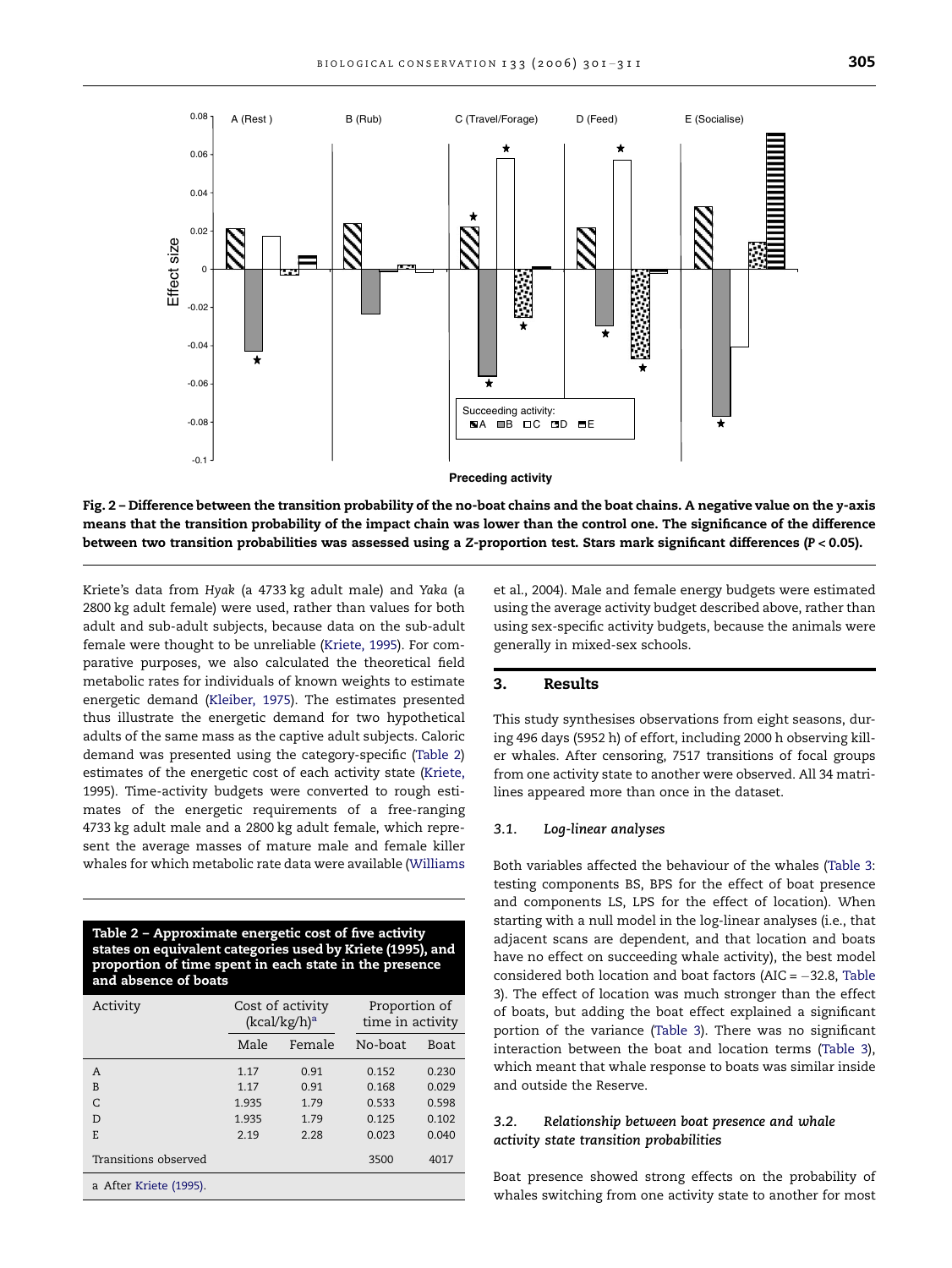<span id="page-4-0"></span>

Fig. 2 – Difference between the transition probability of the no-boat chains and the boat chains. A negative value on the y-axis means that the transition probability of the impact chain was lower than the control one. The significance of the difference between two transition probabilities was assessed using a Z-proportion test. Stars mark significant differences (P < 0.05).

Kriete's data from Hyak (a 4733 kg adult male) and Yaka (a 2800 kg adult female) were used, rather than values for both adult and sub-adult subjects, because data on the sub-adult female were thought to be unreliable ([Kriete, 1995\)](#page-10-0). For comparative purposes, we also calculated the theoretical field metabolic rates for individuals of known weights to estimate energetic demand ([Kleiber, 1975\)](#page-9-0). The estimates presented thus illustrate the energetic demand for two hypothetical adults of the same mass as the captive adult subjects. Caloric demand was presented using the category-specific (Table 2) estimates of the energetic cost of each activity state [\(Kriete,](#page-10-0) [1995](#page-10-0)). Time-activity budgets were converted to rough estimates of the energetic requirements of a free-ranging 4733 kg adult male and a 2800 kg adult female, which represent the average masses of mature male and female killer whales for which metabolic rate data were available [\(Williams](#page-10-0)

Table 2 – Approximate energetic cost of five activity states on equivalent categories used by Kriete (1995), and proportion of time spent in each state in the presence and absence of boats

| Activity               | Cost of activity<br>$(kcal/kg/h)^a$ |        | Proportion of<br>time in activity |             |
|------------------------|-------------------------------------|--------|-----------------------------------|-------------|
|                        | Male                                | Female | No-boat                           | <b>Boat</b> |
| A                      | 1.17                                | 0.91   | 0.152                             | 0.230       |
| B                      | 1.17                                | 0.91   | 0.168                             | 0.029       |
| C                      | 1.935                               | 1.79   | 0.533                             | 0.598       |
| D                      | 1.935                               | 1.79   | 0.125                             | 0.102       |
| E                      | 2.19                                | 2.28   | 0.023                             | 0.040       |
| Transitions observed   |                                     |        | 3500                              | 4017        |
| a After Kriete (1995). |                                     |        |                                   |             |

[et al., 2004\)](#page-10-0). Male and female energy budgets were estimated using the average activity budget described above, rather than using sex-specific activity budgets, because the animals were generally in mixed-sex schools.

# 3. Results

This study synthesises observations from eight seasons, during 496 days (5952 h) of effort, including 2000 h observing killer whales. After censoring, 7517 transitions of focal groups from one activity state to another were observed. All 34 matrilines appeared more than once in the dataset.

#### 3.1. Log-linear analyses

Both variables affected the behaviour of the whales ([Table 3:](#page-5-0) testing components BS, BPS for the effect of boat presence and components LS, LPS for the effect of location). When starting with a null model in the log-linear analyses (i.e., that adjacent scans are dependent, and that location and boats have no effect on succeeding whale activity), the best model  $\,$  considered both location and boat factors (AIC =  $-32.8$ , [Table](#page-5-0) [3](#page-5-0)). The effect of location was much stronger than the effect of boats, but adding the boat effect explained a significant portion of the variance ([Table 3\)](#page-5-0). There was no significant interaction between the boat and location terms [\(Table 3](#page-5-0)), which meant that whale response to boats was similar inside and outside the Reserve.

# 3.2. Relationship between boat presence and whale activity state transition probabilities

Boat presence showed strong effects on the probability of whales switching from one activity state to another for most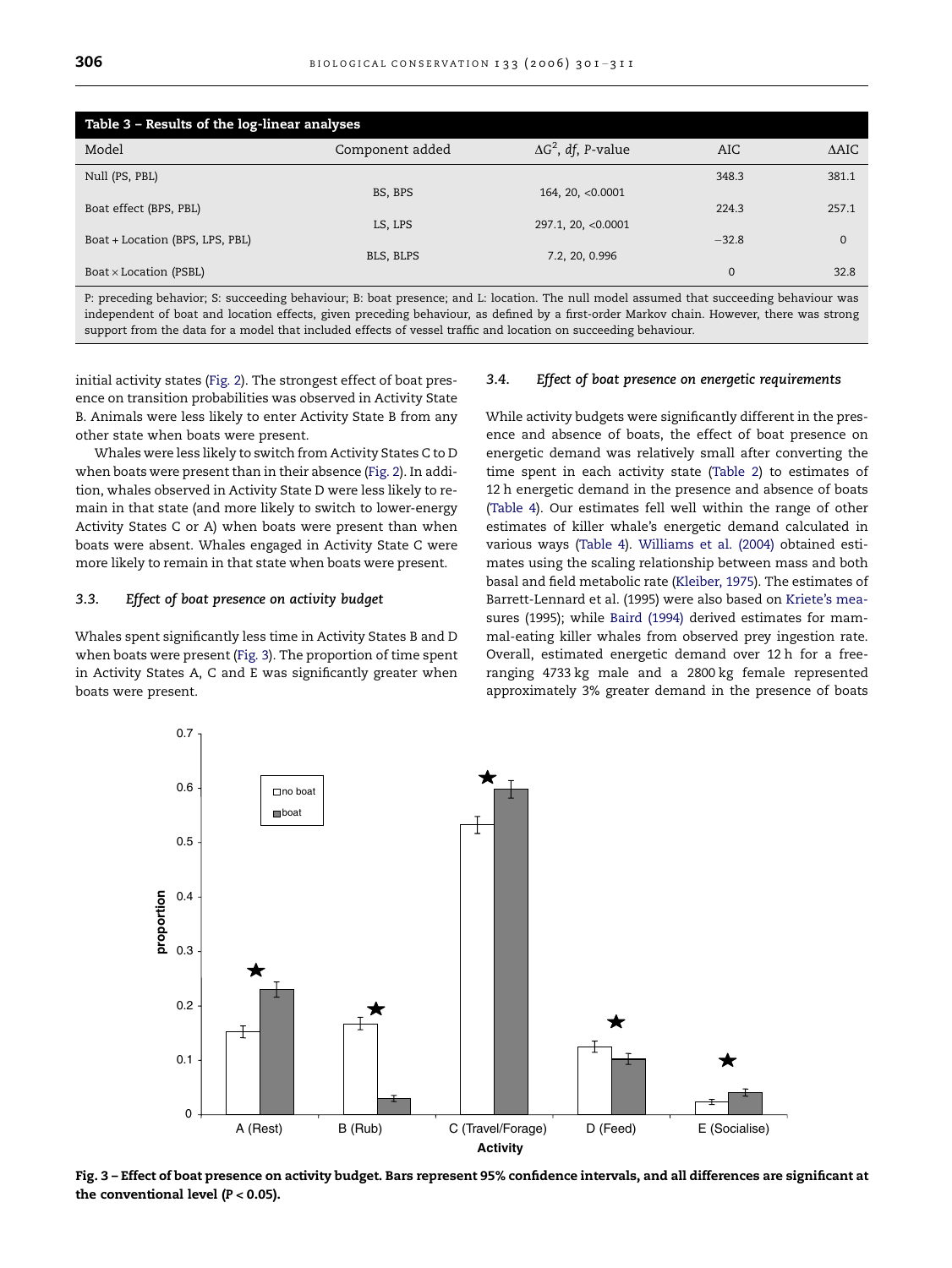<span id="page-5-0"></span>

| Table 3 - Results of the log-linear analyses |                 |                            |              |                 |  |  |
|----------------------------------------------|-----------------|----------------------------|--------------|-----------------|--|--|
| Model                                        | Component added | $\Delta G^2$ , df, P-value | <b>AIC</b>   | $\triangle$ AIC |  |  |
| Null (PS, PBL)                               |                 |                            | 348.3        | 381.1           |  |  |
| Boat effect (BPS, PBL)                       | BS, BPS         | 164, 20, <0.0001           | 224.3        | 257.1           |  |  |
|                                              | LS, LPS         | 297.1, 20, <0.0001         |              |                 |  |  |
| Boat + Location (BPS, LPS, PBL)              | BLS, BLPS       | 7.2, 20, 0.996             | $-32.8$      | $\mathbf{0}$    |  |  |
| $\text{Boat} \times \text{Location}$ (PSBL)  |                 |                            | $\mathbf{0}$ | 32.8            |  |  |

P: preceding behavior; S: succeeding behaviour; B: boat presence; and L: location. The null model assumed that succeeding behaviour was independent of boat and location effects, given preceding behaviour, as defined by a first-order Markov chain. However, there was strong support from the data for a model that included effects of vessel traffic and location on succeeding behaviour.

initial activity states ([Fig. 2\)](#page-4-0). The strongest effect of boat presence on transition probabilities was observed in Activity State B. Animals were less likely to enter Activity State B from any other state when boats were present.

Whales were less likely to switch from Activity States C to D when boats were present than in their absence ([Fig. 2](#page-4-0)). In addition, whales observed in Activity State D were less likely to remain in that state (and more likely to switch to lower-energy Activity States C or A) when boats were present than when boats were absent. Whales engaged in Activity State C were more likely to remain in that state when boats were present.

# 3.3. Effect of boat presence on activity budget

Whales spent significantly less time in Activity States B and D when boats were present (Fig. 3). The proportion of time spent in Activity States A, C and E was significantly greater when boats were present.

#### 3.4. Effect of boat presence on energetic requirements

While activity budgets were significantly different in the presence and absence of boats, the effect of boat presence on energetic demand was relatively small after converting the time spent in each activity state ([Table 2\)](#page-4-0) to estimates of 12 h energetic demand in the presence and absence of boats ([Table 4\)](#page-6-0). Our estimates fell well within the range of other estimates of killer whale's energetic demand calculated in various ways [\(Table 4](#page-6-0)). [Williams et al. \(2004\)](#page-10-0) obtained estimates using the scaling relationship between mass and both basal and field metabolic rate ([Kleiber, 1975\)](#page-9-0). The estimates of [Barrett-Lennard et al. \(1995\)](#page-9-0) were also based on [Kriete's mea](#page-10-0)[sures \(1995\)](#page-10-0); while [Baird \(1994\)](#page-9-0) derived estimates for mammal-eating killer whales from observed prey ingestion rate. Overall, estimated energetic demand over 12 h for a freeranging 4733 kg male and a 2800 kg female represented approximately 3% greater demand in the presence of boats



Fig. 3 – Effect of boat presence on activity budget. Bars represent 95% confidence intervals, and all differences are significant at the conventional level  $(P < 0.05)$ .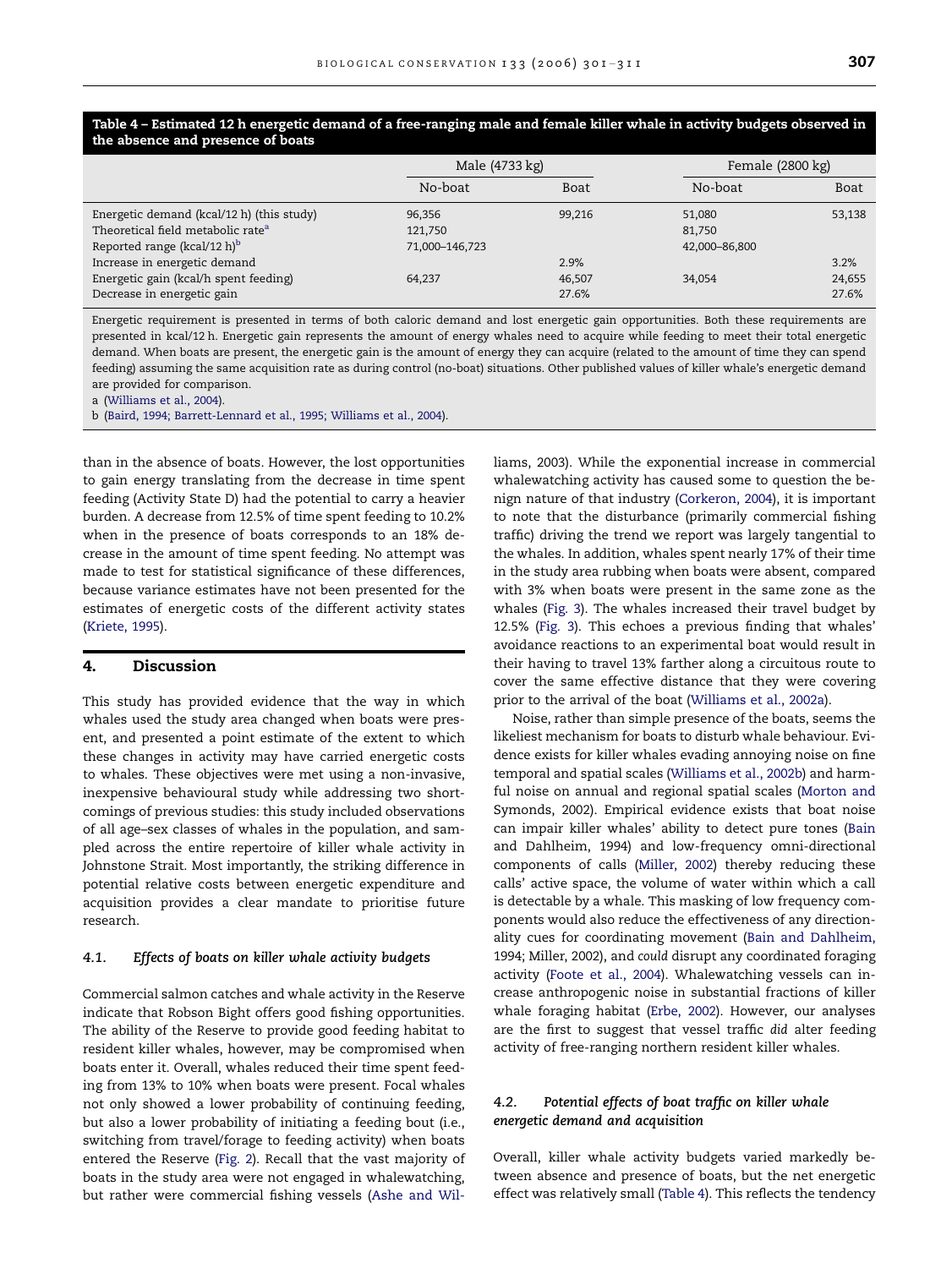<span id="page-6-0"></span>Table 4 – Estimated 12 h energetic demand of a free-ranging male and female killer whale in activity budgets observed in the absence and presence of boats

|                                               | Male (4733 kg) |             | Female $(2800 \text{ kg})$ |             |
|-----------------------------------------------|----------------|-------------|----------------------------|-------------|
|                                               | No-boat        | <b>Boat</b> | No-boat                    | <b>Boat</b> |
| Energetic demand (kcal/12 h) (this study)     | 96,356         | 99.216      | 51,080                     | 53,138      |
| Theoretical field metabolic rate <sup>a</sup> | 121,750        |             | 81,750                     |             |
| Reported range ( $kcal/12$ h) <sup>b</sup>    | 71,000-146,723 |             | 42,000-86,800              |             |
| Increase in energetic demand                  |                | 2.9%        |                            | 3.2%        |
| Energetic gain (kcal/h spent feeding)         | 64,237         | 46,507      | 34,054                     | 24,655      |
| Decrease in energetic gain                    |                | 27.6%       |                            | 27.6%       |

Energetic requirement is presented in terms of both caloric demand and lost energetic gain opportunities. Both these requirements are presented in kcal/12 h. Energetic gain represents the amount of energy whales need to acquire while feeding to meet their total energetic demand. When boats are present, the energetic gain is the amount of energy they can acquire (related to the amount of time they can spend feeding) assuming the same acquisition rate as during control (no-boat) situations. Other published values of killer whale's energetic demand are provided for comparison.

a [\(Williams et al., 2004\)](#page-10-0).

b [\(Baird, 1994; Barrett-Lennard et al., 1995; Williams et al., 2004\)](#page-9-0).

than in the absence of boats. However, the lost opportunities to gain energy translating from the decrease in time spent feeding (Activity State D) had the potential to carry a heavier burden. A decrease from 12.5% of time spent feeding to 10.2% when in the presence of boats corresponds to an 18% decrease in the amount of time spent feeding. No attempt was made to test for statistical significance of these differences, because variance estimates have not been presented for the estimates of energetic costs of the different activity states [\(Kriete, 1995](#page-10-0)).

# 4. Discussion

This study has provided evidence that the way in which whales used the study area changed when boats were present, and presented a point estimate of the extent to which these changes in activity may have carried energetic costs to whales. These objectives were met using a non-invasive, inexpensive behavioural study while addressing two shortcomings of previous studies: this study included observations of all age–sex classes of whales in the population, and sampled across the entire repertoire of killer whale activity in Johnstone Strait. Most importantly, the striking difference in potential relative costs between energetic expenditure and acquisition provides a clear mandate to prioritise future research.

#### 4.1. Effects of boats on killer whale activity budgets

Commercial salmon catches and whale activity in the Reserve indicate that Robson Bight offers good fishing opportunities. The ability of the Reserve to provide good feeding habitat to resident killer whales, however, may be compromised when boats enter it. Overall, whales reduced their time spent feeding from 13% to 10% when boats were present. Focal whales not only showed a lower probability of continuing feeding, but also a lower probability of initiating a feeding bout (i.e., switching from travel/forage to feeding activity) when boats entered the Reserve ([Fig. 2\)](#page-4-0). Recall that the vast majority of boats in the study area were not engaged in whalewatching, but rather were commercial fishing vessels ([Ashe and Wil-](#page-9-0) [liams, 2003\)](#page-9-0). While the exponential increase in commercial whalewatching activity has caused some to question the benign nature of that industry ([Corkeron, 2004](#page-9-0)), it is important to note that the disturbance (primarily commercial fishing traffic) driving the trend we report was largely tangential to the whales. In addition, whales spent nearly 17% of their time in the study area rubbing when boats were absent, compared with 3% when boats were present in the same zone as the whales [\(Fig. 3](#page-5-0)). The whales increased their travel budget by 12.5% ([Fig. 3](#page-5-0)). This echoes a previous finding that whales' avoidance reactions to an experimental boat would result in their having to travel 13% farther along a circuitous route to cover the same effective distance that they were covering prior to the arrival of the boat [\(Williams et al., 2002a](#page-10-0)).

Noise, rather than simple presence of the boats, seems the likeliest mechanism for boats to disturb whale behaviour. Evidence exists for killer whales evading annoying noise on fine temporal and spatial scales ([Williams et al., 2002b](#page-10-0)) and harmful noise on annual and regional spatial scales [\(Morton and](#page-10-0) [Symonds, 2002](#page-10-0)). Empirical evidence exists that boat noise can impair killer whales' ability to detect pure tones ([Bain](#page-9-0) [and Dahlheim, 1994\)](#page-9-0) and low-frequency omni-directional components of calls ([Miller, 2002](#page-10-0)) thereby reducing these calls' active space, the volume of water within which a call is detectable by a whale. This masking of low frequency components would also reduce the effectiveness of any directionality cues for coordinating movement ([Bain and Dahlheim,](#page-9-0) [1994; Miller, 2002](#page-9-0)), and could disrupt any coordinated foraging activity [\(Foote et al., 2004\)](#page-9-0). Whalewatching vessels can increase anthropogenic noise in substantial fractions of killer whale foraging habitat [\(Erbe, 2002](#page-9-0)). However, our analyses are the first to suggest that vessel traffic did alter feeding activity of free-ranging northern resident killer whales.

## 4.2. Potential effects of boat traffic on killer whale energetic demand and acquisition

Overall, killer whale activity budgets varied markedly between absence and presence of boats, but the net energetic effect was relatively small (Table 4). This reflects the tendency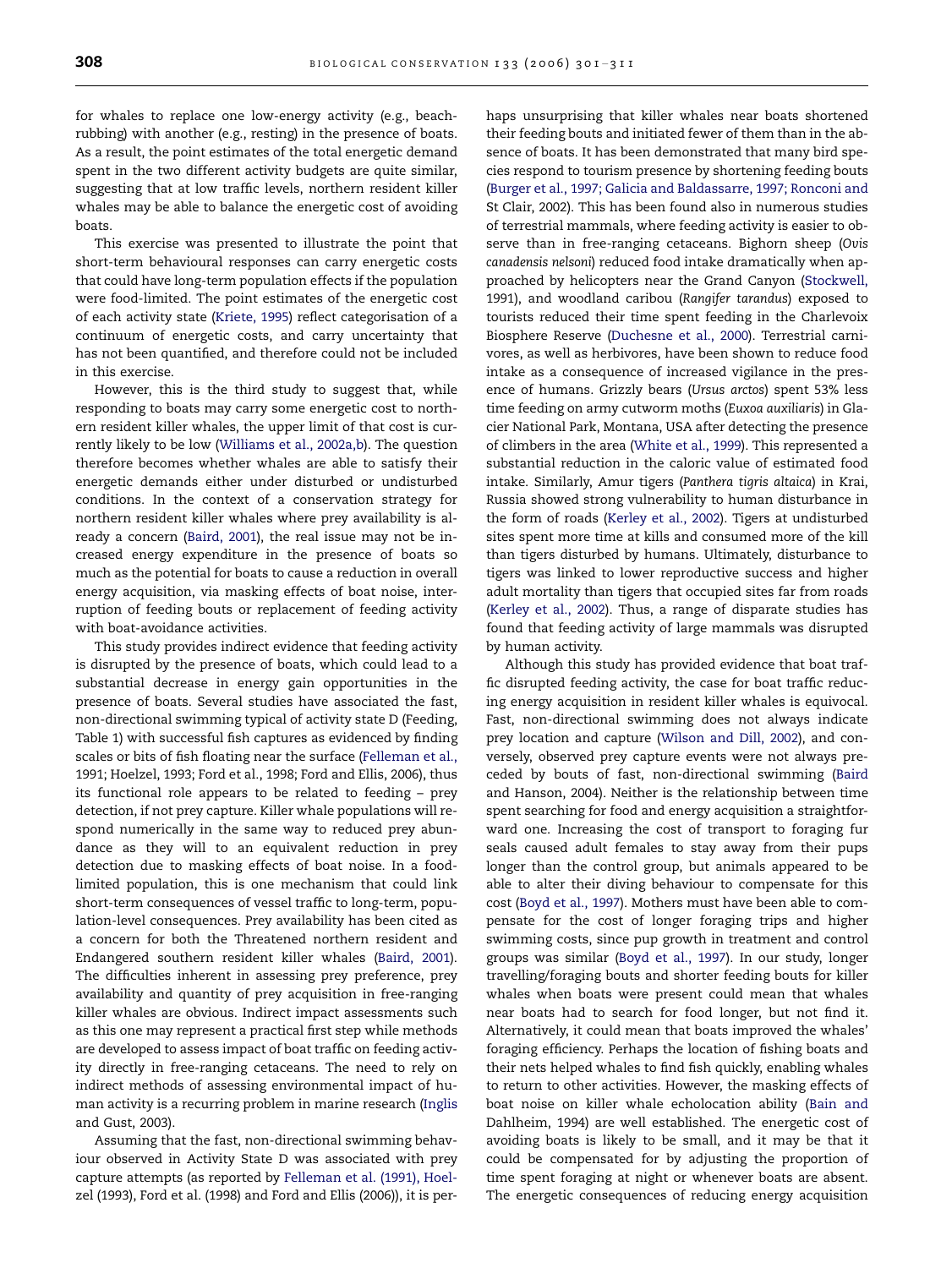for whales to replace one low-energy activity (e.g., beachrubbing) with another (e.g., resting) in the presence of boats. As a result, the point estimates of the total energetic demand spent in the two different activity budgets are quite similar, suggesting that at low traffic levels, northern resident killer whales may be able to balance the energetic cost of avoiding boats.

This exercise was presented to illustrate the point that short-term behavioural responses can carry energetic costs that could have long-term population effects if the population were food-limited. The point estimates of the energetic cost of each activity state ([Kriete, 1995\)](#page-10-0) reflect categorisation of a continuum of energetic costs, and carry uncertainty that has not been quantified, and therefore could not be included in this exercise.

However, this is the third study to suggest that, while responding to boats may carry some energetic cost to northern resident killer whales, the upper limit of that cost is currently likely to be low [\(Williams et al., 2002a,b\)](#page-10-0). The question therefore becomes whether whales are able to satisfy their energetic demands either under disturbed or undisturbed conditions. In the context of a conservation strategy for northern resident killer whales where prey availability is already a concern [\(Baird, 2001\)](#page-9-0), the real issue may not be increased energy expenditure in the presence of boats so much as the potential for boats to cause a reduction in overall energy acquisition, via masking effects of boat noise, interruption of feeding bouts or replacement of feeding activity with boat-avoidance activities.

This study provides indirect evidence that feeding activity is disrupted by the presence of boats, which could lead to a substantial decrease in energy gain opportunities in the presence of boats. Several studies have associated the fast, non-directional swimming typical of activity state D (Feeding, [Table 1\)](#page-3-0) with successful fish captures as evidenced by finding scales or bits of fish floating near the surface ([Felleman et al.,](#page-9-0) [1991; Hoelzel, 1993; Ford et al., 1998; Ford and Ellis, 2006](#page-9-0)), thus its functional role appears to be related to feeding – prey detection, if not prey capture. Killer whale populations will respond numerically in the same way to reduced prey abundance as they will to an equivalent reduction in prey detection due to masking effects of boat noise. In a foodlimited population, this is one mechanism that could link short-term consequences of vessel traffic to long-term, population-level consequences. Prey availability has been cited as a concern for both the Threatened northern resident and Endangered southern resident killer whales [\(Baird, 2001\)](#page-9-0). The difficulties inherent in assessing prey preference, prey availability and quantity of prey acquisition in free-ranging killer whales are obvious. Indirect impact assessments such as this one may represent a practical first step while methods are developed to assess impact of boat traffic on feeding activity directly in free-ranging cetaceans. The need to rely on indirect methods of assessing environmental impact of human activity is a recurring problem in marine research [\(Inglis](#page-9-0) [and Gust, 2003](#page-9-0)).

Assuming that the fast, non-directional swimming behaviour observed in Activity State D was associated with prey capture attempts (as reported by [Felleman et al. \(1991\), Hoel](#page-9-0)[zel \(1993\), Ford et al. \(1998\) and Ford and Ellis \(2006\)](#page-9-0)), it is perhaps unsurprising that killer whales near boats shortened their feeding bouts and initiated fewer of them than in the absence of boats. It has been demonstrated that many bird species respond to tourism presence by shortening feeding bouts ([Burger et al., 1997; Galicia and Baldassarre, 1997; Ronconi and](#page-9-0) [St Clair, 2002\)](#page-9-0). This has been found also in numerous studies of terrestrial mammals, where feeding activity is easier to observe than in free-ranging cetaceans. Bighorn sheep (Ovis canadensis nelsoni) reduced food intake dramatically when approached by helicopters near the Grand Canyon ([Stockwell,](#page-10-0) [1991\)](#page-10-0), and woodland caribou (Rangifer tarandus) exposed to tourists reduced their time spent feeding in the Charlevoix Biosphere Reserve ([Duchesne et al., 2000](#page-9-0)). Terrestrial carnivores, as well as herbivores, have been shown to reduce food intake as a consequence of increased vigilance in the presence of humans. Grizzly bears (Ursus arctos) spent 53% less time feeding on army cutworm moths (Euxoa auxiliaris) in Glacier National Park, Montana, USA after detecting the presence of climbers in the area ([White et al., 1999\)](#page-10-0). This represented a substantial reduction in the caloric value of estimated food intake. Similarly, Amur tigers (Panthera tigris altaica) in Krai, Russia showed strong vulnerability to human disturbance in the form of roads [\(Kerley et al., 2002\)](#page-9-0). Tigers at undisturbed sites spent more time at kills and consumed more of the kill than tigers disturbed by humans. Ultimately, disturbance to tigers was linked to lower reproductive success and higher adult mortality than tigers that occupied sites far from roads ([Kerley et al., 2002\)](#page-9-0). Thus, a range of disparate studies has found that feeding activity of large mammals was disrupted by human activity.

Although this study has provided evidence that boat traffic disrupted feeding activity, the case for boat traffic reducing energy acquisition in resident killer whales is equivocal. Fast, non-directional swimming does not always indicate prey location and capture ([Wilson and Dill, 2002\)](#page-10-0), and conversely, observed prey capture events were not always preceded by bouts of fast, non-directional swimming [\(Baird](#page-9-0) [and Hanson, 2004\)](#page-9-0). Neither is the relationship between time spent searching for food and energy acquisition a straightforward one. Increasing the cost of transport to foraging fur seals caused adult females to stay away from their pups longer than the control group, but animals appeared to be able to alter their diving behaviour to compensate for this cost [\(Boyd et al., 1997](#page-9-0)). Mothers must have been able to compensate for the cost of longer foraging trips and higher swimming costs, since pup growth in treatment and control groups was similar [\(Boyd et al., 1997](#page-9-0)). In our study, longer travelling/foraging bouts and shorter feeding bouts for killer whales when boats were present could mean that whales near boats had to search for food longer, but not find it. Alternatively, it could mean that boats improved the whales' foraging efficiency. Perhaps the location of fishing boats and their nets helped whales to find fish quickly, enabling whales to return to other activities. However, the masking effects of boat noise on killer whale echolocation ability [\(Bain and](#page-9-0) [Dahlheim, 1994](#page-9-0)) are well established. The energetic cost of avoiding boats is likely to be small, and it may be that it could be compensated for by adjusting the proportion of time spent foraging at night or whenever boats are absent. The energetic consequences of reducing energy acquisition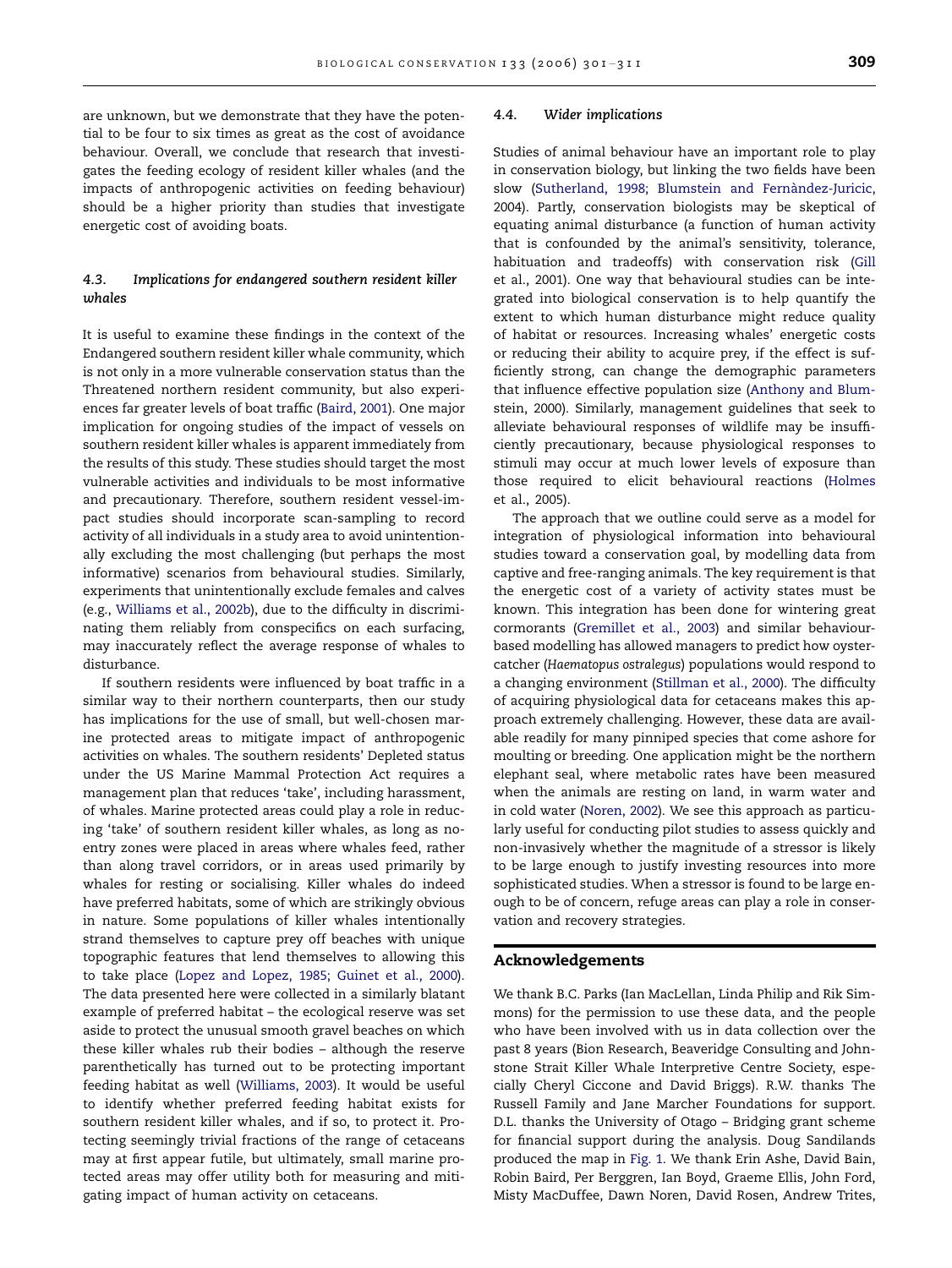are unknown, but we demonstrate that they have the potential to be four to six times as great as the cost of avoidance behaviour. Overall, we conclude that research that investigates the feeding ecology of resident killer whales (and the impacts of anthropogenic activities on feeding behaviour) should be a higher priority than studies that investigate energetic cost of avoiding boats.

# 4.3. Implications for endangered southern resident killer whales

It is useful to examine these findings in the context of the Endangered southern resident killer whale community, which is not only in a more vulnerable conservation status than the Threatened northern resident community, but also experiences far greater levels of boat traffic ([Baird, 2001\)](#page-9-0). One major implication for ongoing studies of the impact of vessels on southern resident killer whales is apparent immediately from the results of this study. These studies should target the most vulnerable activities and individuals to be most informative and precautionary. Therefore, southern resident vessel-impact studies should incorporate scan-sampling to record activity of all individuals in a study area to avoid unintentionally excluding the most challenging (but perhaps the most informative) scenarios from behavioural studies. Similarly, experiments that unintentionally exclude females and calves (e.g., [Williams et al., 2002b\)](#page-10-0), due to the difficulty in discriminating them reliably from conspecifics on each surfacing, may inaccurately reflect the average response of whales to disturbance.

If southern residents were influenced by boat traffic in a similar way to their northern counterparts, then our study has implications for the use of small, but well-chosen marine protected areas to mitigate impact of anthropogenic activities on whales. The southern residents' Depleted status under the US Marine Mammal Protection Act requires a management plan that reduces 'take', including harassment, of whales. Marine protected areas could play a role in reducing 'take' of southern resident killer whales, as long as noentry zones were placed in areas where whales feed, rather than along travel corridors, or in areas used primarily by whales for resting or socialising. Killer whales do indeed have preferred habitats, some of which are strikingly obvious in nature. Some populations of killer whales intentionally strand themselves to capture prey off beaches with unique topographic features that lend themselves to allowing this to take place ([Lopez and Lopez, 1985; Guinet et al., 2000](#page-10-0)). The data presented here were collected in a similarly blatant example of preferred habitat – the ecological reserve was set aside to protect the unusual smooth gravel beaches on which these killer whales rub their bodies – although the reserve parenthetically has turned out to be protecting important feeding habitat as well [\(Williams, 2003](#page-10-0)). It would be useful to identify whether preferred feeding habitat exists for southern resident killer whales, and if so, to protect it. Protecting seemingly trivial fractions of the range of cetaceans may at first appear futile, but ultimately, small marine protected areas may offer utility both for measuring and mitigating impact of human activity on cetaceans.

# 4.4. Wider implications

Studies of animal behaviour have an important role to play in conservation biology, but linking the two fields have been slow (Sutherland, 1998; Blumstein and Fernàndez-Juricic, [2004](#page-10-0)). Partly, conservation biologists may be skeptical of equating animal disturbance (a function of human activity that is confounded by the animal's sensitivity, tolerance, habituation and tradeoffs) with conservation risk ([Gill](#page-9-0) [et al., 2001](#page-9-0)). One way that behavioural studies can be integrated into biological conservation is to help quantify the extent to which human disturbance might reduce quality of habitat or resources. Increasing whales' energetic costs or reducing their ability to acquire prey, if the effect is sufficiently strong, can change the demographic parameters that influence effective population size [\(Anthony and Blum](#page-9-0)[stein, 2000\)](#page-9-0). Similarly, management guidelines that seek to alleviate behavioural responses of wildlife may be insufficiently precautionary, because physiological responses to stimuli may occur at much lower levels of exposure than those required to elicit behavioural reactions [\(Holmes](#page-9-0) [et al., 2005](#page-9-0)).

The approach that we outline could serve as a model for integration of physiological information into behavioural studies toward a conservation goal, by modelling data from captive and free-ranging animals. The key requirement is that the energetic cost of a variety of activity states must be known. This integration has been done for wintering great cormorants [\(Gremillet et al., 2003\)](#page-9-0) and similar behaviourbased modelling has allowed managers to predict how oystercatcher (Haematopus ostralegus) populations would respond to a changing environment ([Stillman et al., 2000](#page-10-0)). The difficulty of acquiring physiological data for cetaceans makes this approach extremely challenging. However, these data are available readily for many pinniped species that come ashore for moulting or breeding. One application might be the northern elephant seal, where metabolic rates have been measured when the animals are resting on land, in warm water and in cold water [\(Noren, 2002\)](#page-10-0). We see this approach as particularly useful for conducting pilot studies to assess quickly and non-invasively whether the magnitude of a stressor is likely to be large enough to justify investing resources into more sophisticated studies. When a stressor is found to be large enough to be of concern, refuge areas can play a role in conservation and recovery strategies.

#### Acknowledgements

We thank B.C. Parks (Ian MacLellan, Linda Philip and Rik Simmons) for the permission to use these data, and the people who have been involved with us in data collection over the past 8 years (Bion Research, Beaveridge Consulting and Johnstone Strait Killer Whale Interpretive Centre Society, especially Cheryl Ciccone and David Briggs). R.W. thanks The Russell Family and Jane Marcher Foundations for support. D.L. thanks the University of Otago – Bridging grant scheme for financial support during the analysis. Doug Sandilands produced the map in [Fig. 1.](#page-1-0) We thank Erin Ashe, David Bain, Robin Baird, Per Berggren, Ian Boyd, Graeme Ellis, John Ford, Misty MacDuffee, Dawn Noren, David Rosen, Andrew Trites,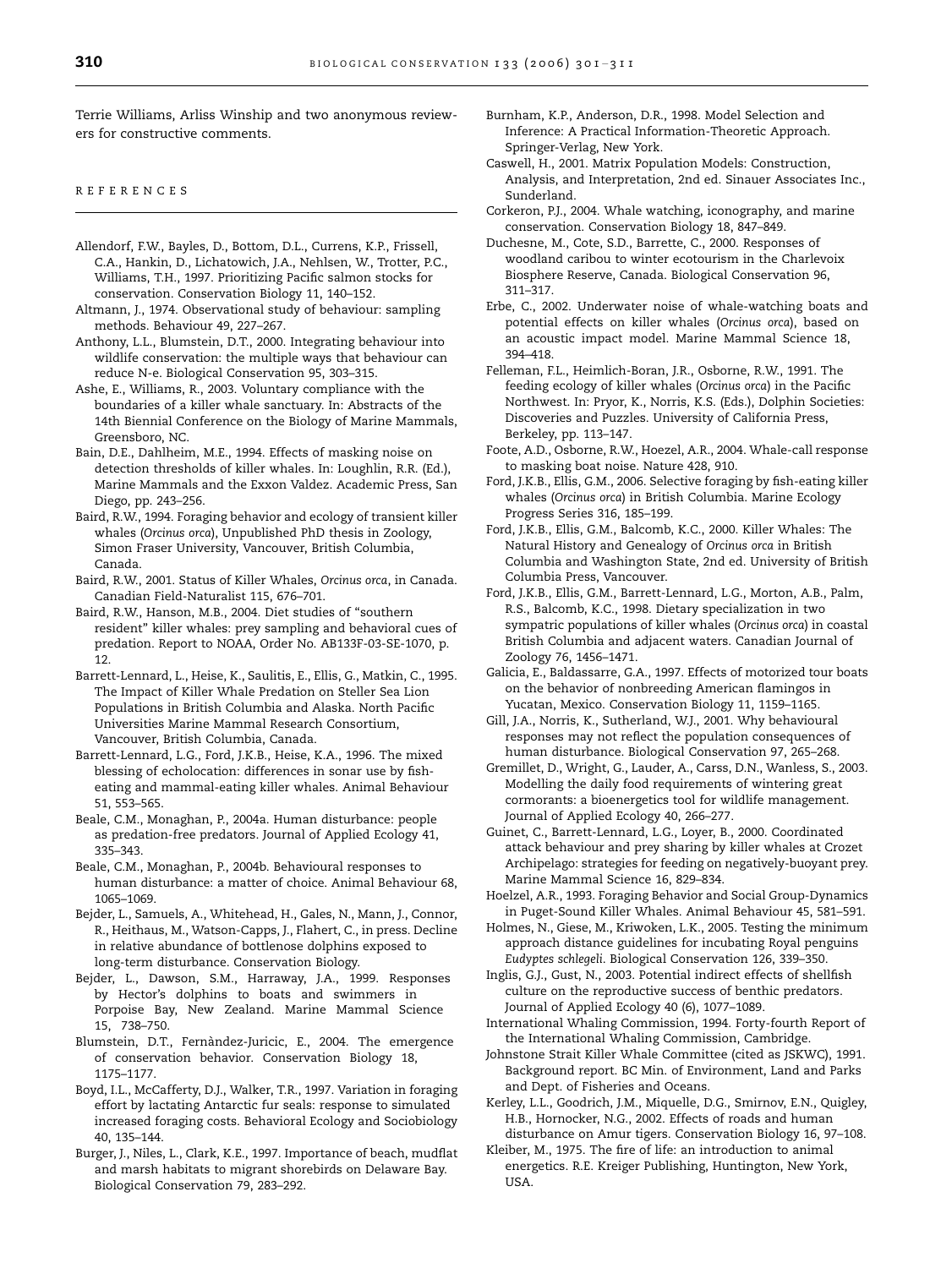<span id="page-9-0"></span>Terrie Williams, Arliss Winship and two anonymous reviewers for constructive comments.

REFERENCES

- Allendorf, F.W., Bayles, D., Bottom, D.L., Currens, K.P., Frissell, C.A., Hankin, D., Lichatowich, J.A., Nehlsen, W., Trotter, P.C., Williams, T.H., 1997. Prioritizing Pacific salmon stocks for conservation. Conservation Biology 11, 140–152.
- Altmann, J., 1974. Observational study of behaviour: sampling methods. Behaviour 49, 227–267.
- Anthony, L.L., Blumstein, D.T., 2000. Integrating behaviour into wildlife conservation: the multiple ways that behaviour can reduce N-e. Biological Conservation 95, 303–315.
- Ashe, E., Williams, R., 2003. Voluntary compliance with the boundaries of a killer whale sanctuary. In: Abstracts of the 14th Biennial Conference on the Biology of Marine Mammals, Greensboro, NC.
- Bain, D.E., Dahlheim, M.E., 1994. Effects of masking noise on detection thresholds of killer whales. In: Loughlin, R.R. (Ed.), Marine Mammals and the Exxon Valdez. Academic Press, San Diego, pp. 243–256.
- Baird, R.W., 1994. Foraging behavior and ecology of transient killer whales (Orcinus orca), Unpublished PhD thesis in Zoology, Simon Fraser University, Vancouver, British Columbia, Canada.
- Baird, R.W., 2001. Status of Killer Whales, Orcinus orca, in Canada. Canadian Field-Naturalist 115, 676–701.
- Baird, R.W., Hanson, M.B., 2004. Diet studies of ''southern resident'' killer whales: prey sampling and behavioral cues of predation. Report to NOAA, Order No. AB133F-03-SE-1070, p. 12.
- Barrett-Lennard, L., Heise, K., Saulitis, E., Ellis, G., Matkin, C., 1995. The Impact of Killer Whale Predation on Steller Sea Lion Populations in British Columbia and Alaska. North Pacific Universities Marine Mammal Research Consortium, Vancouver, British Columbia, Canada.
- Barrett-Lennard, L.G., Ford, J.K.B., Heise, K.A., 1996. The mixed blessing of echolocation: differences in sonar use by fisheating and mammal-eating killer whales. Animal Behaviour 51, 553–565.
- Beale, C.M., Monaghan, P., 2004a. Human disturbance: people as predation-free predators. Journal of Applied Ecology 41, 335–343.
- Beale, C.M., Monaghan, P., 2004b. Behavioural responses to human disturbance: a matter of choice. Animal Behaviour 68, 1065–1069.
- Bejder, L., Samuels, A., Whitehead, H., Gales, N., Mann, J., Connor, R., Heithaus, M., Watson-Capps, J., Flahert, C., in press. Decline in relative abundance of bottlenose dolphins exposed to long-term disturbance. Conservation Biology.
- Bejder, L., Dawson, S.M., Harraway, J.A., 1999. Responses by Hector's dolphins to boats and swimmers in Porpoise Bay, New Zealand. Marine Mammal Science 15, 738–750.
- Blumstein, D.T., Fernàndez-Juricic, E., 2004. The emergence of conservation behavior. Conservation Biology 18, 1175–1177.
- Boyd, I.L., McCafferty, D.J., Walker, T.R., 1997. Variation in foraging effort by lactating Antarctic fur seals: response to simulated increased foraging costs. Behavioral Ecology and Sociobiology 40, 135–144.
- Burger, J., Niles, L., Clark, K.E., 1997. Importance of beach, mudflat and marsh habitats to migrant shorebirds on Delaware Bay. Biological Conservation 79, 283–292.
- Burnham, K.P., Anderson, D.R., 1998. Model Selection and Inference: A Practical Information-Theoretic Approach. Springer-Verlag, New York.
- Caswell, H., 2001. Matrix Population Models: Construction, Analysis, and Interpretation, 2nd ed. Sinauer Associates Inc., Sunderland.
- Corkeron, P.J., 2004. Whale watching, iconography, and marine conservation. Conservation Biology 18, 847–849.
- Duchesne, M., Cote, S.D., Barrette, C., 2000. Responses of woodland caribou to winter ecotourism in the Charlevoix Biosphere Reserve, Canada. Biological Conservation 96, 311–317.
- Erbe, C., 2002. Underwater noise of whale-watching boats and potential effects on killer whales (Orcinus orca), based on an acoustic impact model. Marine Mammal Science 18, 394–418.
- Felleman, F.L., Heimlich-Boran, J.R., Osborne, R.W., 1991. The feeding ecology of killer whales (Orcinus orca) in the Pacific Northwest. In: Pryor, K., Norris, K.S. (Eds.), Dolphin Societies: Discoveries and Puzzles. University of California Press, Berkeley, pp. 113–147.
- Foote, A.D., Osborne, R.W., Hoezel, A.R., 2004. Whale-call response to masking boat noise. Nature 428, 910.
- Ford, J.K.B., Ellis, G.M., 2006. Selective foraging by fish-eating killer whales (Orcinus orca) in British Columbia. Marine Ecology Progress Series 316, 185–199.
- Ford, J.K.B., Ellis, G.M., Balcomb, K.C., 2000. Killer Whales: The Natural History and Genealogy of Orcinus orca in British Columbia and Washington State, 2nd ed. University of British Columbia Press, Vancouver.
- Ford, J.K.B., Ellis, G.M., Barrett-Lennard, L.G., Morton, A.B., Palm, R.S., Balcomb, K.C., 1998. Dietary specialization in two sympatric populations of killer whales (Orcinus orca) in coastal British Columbia and adjacent waters. Canadian Journal of Zoology 76, 1456–1471.
- Galicia, E., Baldassarre, G.A., 1997. Effects of motorized tour boats on the behavior of nonbreeding American flamingos in Yucatan, Mexico. Conservation Biology 11, 1159–1165.
- Gill, J.A., Norris, K., Sutherland, W.J., 2001. Why behavioural responses may not reflect the population consequences of human disturbance. Biological Conservation 97, 265–268.
- Gremillet, D., Wright, G., Lauder, A., Carss, D.N., Wanless, S., 2003. Modelling the daily food requirements of wintering great cormorants: a bioenergetics tool for wildlife management. Journal of Applied Ecology 40, 266–277.
- Guinet, C., Barrett-Lennard, L.G., Loyer, B., 2000. Coordinated attack behaviour and prey sharing by killer whales at Crozet Archipelago: strategies for feeding on negatively-buoyant prey. Marine Mammal Science 16, 829–834.
- Hoelzel, A.R., 1993. Foraging Behavior and Social Group-Dynamics in Puget-Sound Killer Whales. Animal Behaviour 45, 581–591.
- Holmes, N., Giese, M., Kriwoken, L.K., 2005. Testing the minimum approach distance guidelines for incubating Royal penguins Eudyptes schlegeli. Biological Conservation 126, 339–350.
- Inglis, G.J., Gust, N., 2003. Potential indirect effects of shellfish culture on the reproductive success of benthic predators. Journal of Applied Ecology 40 (6), 1077–1089.
- International Whaling Commission, 1994. Forty-fourth Report of the International Whaling Commission, Cambridge.
- Johnstone Strait Killer Whale Committee (cited as JSKWC), 1991. Background report. BC Min. of Environment, Land and Parks and Dept. of Fisheries and Oceans.
- Kerley, L.L., Goodrich, J.M., Miquelle, D.G., Smirnov, E.N., Quigley, H.B., Hornocker, N.G., 2002. Effects of roads and human disturbance on Amur tigers. Conservation Biology 16, 97–108.
- Kleiber, M., 1975. The fire of life: an introduction to animal energetics. R.E. Kreiger Publishing, Huntington, New York, USA.